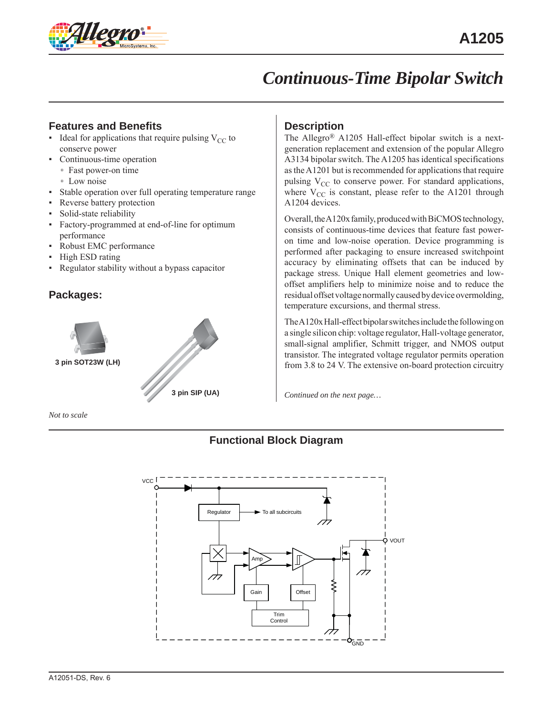

# *Continuous-Time Bipolar Switch*

# **Features and Benefits**

- **•** Ideal for applications that require pulsing  $V_{CC}$  to conserve power
- Continuous-time operation
	- Fast power-on time
	- Low noise
- Stable operation over full operating temperature range
- Reverse battery protection
- Solid-state reliability
- Factory-programmed at end-of-line for optimum performance
- Robust EMC performance
- High ESD rating
- Regulator stability without a bypass capacitor

## **Packages:**



*Not to scale*

## **Description**

The Allegro® A1205 Hall-effect bipolar switch is a nextgeneration replacement and extension of the popular Allegro A3134 bipolar switch. The A1205 has identical specifications as the A1201 but is recommended for applications that require pulsing  $V_{CC}$  to conserve power. For standard applications, where  $V_{CC}$  is constant, please refer to the A1201 through A1204 devices.

Overall, the A120x family, produced with BiCMOS technology, consists of continuous-time devices that feature fast poweron time and low-noise operation. Device programming is performed after packaging to ensure increased switchpoint accuracy by eliminating offsets that can be induced by package stress. Unique Hall element geometries and lowoffset amplifiers help to minimize noise and to reduce the residual offset voltage normally caused by device overmolding, temperature excursions, and thermal stress.

The A120x Hall-effect bipolar switches include the following on a single silicon chip: voltage regulator, Hall-voltage generator, small-signal amplifier, Schmitt trigger, and NMOS output transistor. The integrated voltage regulator permits operation from 3.8 to 24 V. The extensive on-board protection circuitry

*Continued on the next page…*

## **Functional Block Diagram**

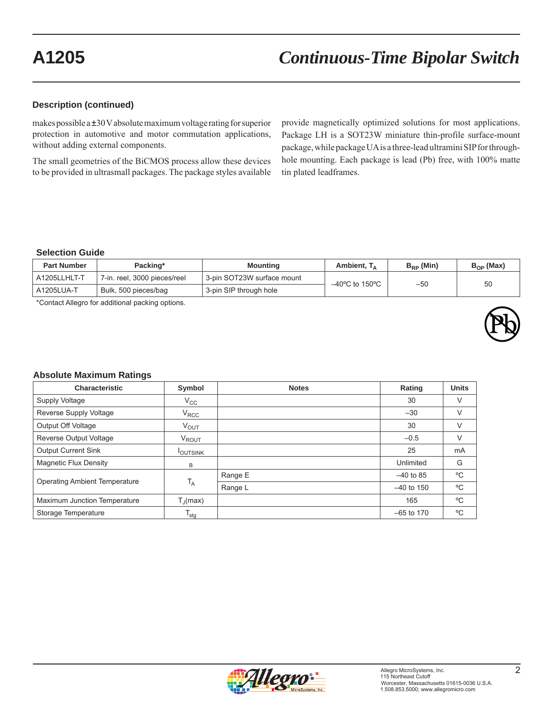### **Description (continued)**

makes possible a ±30 V absolute maximum voltage rating for superior protection in automotive and motor commutation applications, without adding external components.

The small geometries of the BiCMOS process allow these devices to be provided in ultrasmall packages. The package styles available

provide magnetically optimized solutions for most applications. Package LH is a SOT23W miniature thin-profile surface-mount package, while package UA is a three-lead ultramini SIP for throughhole mounting. Each package is lead (Pb) free, with 100% matte tin plated leadframes.

### **Selection Guide**

| <b>Part Number</b> | Packing*                     | Mounting                   | Ambient, $T_A$                      | $B_{\rm{PD}}$ (Min) | $B_{\Omega P}$ (Max) |
|--------------------|------------------------------|----------------------------|-------------------------------------|---------------------|----------------------|
| A1205LLHLT-T       | 7-in. reel, 3000 pieces/reel | 3-pin SOT23W surface mount | $-40^{\circ}$ C to 150 $^{\circ}$ C |                     | 50                   |
| A1205LUA-T         | Bulk, 500 pieces/bag         | 3-pin SIP through hole     |                                     | $-50$               |                      |

\*Contact Allegro for additional packing options.



### **Absolute Maximum Ratings**

| <b>Characteristic</b>                | Symbol                      | <b>Notes</b> | Rating       | <b>Units</b> |
|--------------------------------------|-----------------------------|--------------|--------------|--------------|
| Supply Voltage                       | $V_{\rm CC}$                |              | 30           | $\vee$       |
| Reverse Supply Voltage               | $V_{\rm{RCC}}$              |              | $-30$        | V            |
| Output Off Voltage                   | $V_{\text{OUT}}$            |              | 30           | V            |
| Reverse Output Voltage               | V <sub>ROUT</sub>           |              | $-0.5$       | $\vee$       |
| <b>Output Current Sink</b>           | <b>I</b> OUTSINK            |              | 25           | mA           |
| Magnetic Flux Density                | B                           |              | Unlimited    | G            |
| <b>Operating Ambient Temperature</b> | $T_A$                       | Range E      | $-40$ to 85  | °C           |
|                                      |                             | Range L      | $-40$ to 150 | °C           |
| Maximum Junction Temperature         | $T_{\parallel}$ (max)       |              | 165          | $^{\circ}$ C |
| Storage Temperature                  | $\mathsf{T}_{\mathsf{stg}}$ |              | $-65$ to 170 | °C           |

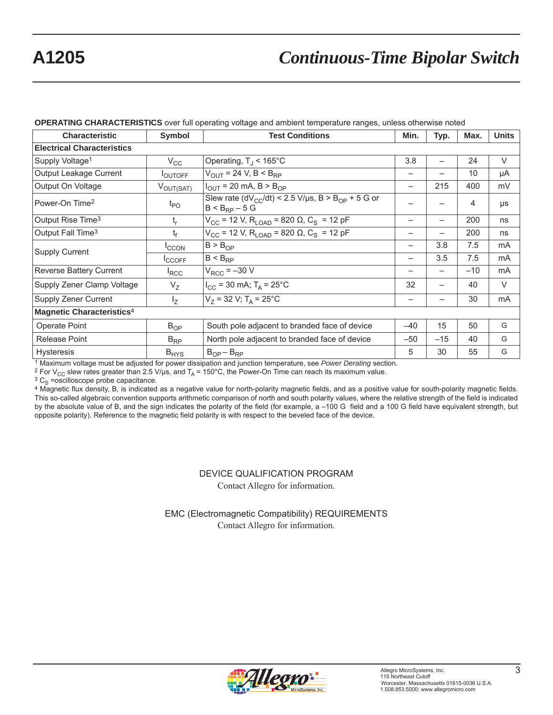# **A1205** *Continuous-Time Bipolar Switch*

| <b>Characteristic</b>                 | <b>Symbol</b>         | <b>Test Conditions</b>                                                                          |       | Typ.  | Max.            | <b>Units</b> |
|---------------------------------------|-----------------------|-------------------------------------------------------------------------------------------------|-------|-------|-----------------|--------------|
| <b>Electrical Characteristics</b>     |                       |                                                                                                 |       |       |                 |              |
| Supply Voltage <sup>1</sup>           | $V_{\rm CC}$          | Operating, $T_{\rm J}$ < 165°C                                                                  | 3.8   |       | 24              | V            |
| Output Leakage Current                | <b>IOUTOFF</b>        | $V_{\text{OUT}}$ = 24 V, B < B <sub>RP</sub>                                                    |       |       | 10 <sup>1</sup> | μA           |
| Output On Voltage                     | $V_{\text{OUT(SAT)}}$ | $I_{\text{OUT}}$ = 20 mA, B > B <sub>OP</sub>                                                   | —     | 215   | 400             | mV           |
| Power-On Time <sup>2</sup>            | $t_{\mathsf{PO}}$     | Slew rate (dV <sub>CC</sub> /dt) < 2.5 V/µs, B > B <sub>OP</sub> + 5 G or<br>$B < B_{RP} - 5 G$ |       |       | 4               | μs           |
| Output Rise Time <sup>3</sup>         | $t_{r}$               | $V_{CC}$ = 12 V, R <sub>LOAD</sub> = 820 Ω, C <sub>S</sub> = 12 pF                              | —     | -     | 200             | ns           |
| Output Fall Time <sup>3</sup>         | $t_f$                 | $V_{CC}$ = 12 V, R <sub>LOAD</sub> = 820 Ω, C <sub>S</sub> = 12 pF                              | -     |       | 200             | ns           |
| <b>Supply Current</b>                 | <b>ICCON</b>          | $B > B_{OP}$                                                                                    | -     | 3.8   | 7.5             | mA           |
|                                       | <b>I</b> CCOFF        | $B < B_{RP}$                                                                                    | -     | 3.5   | 7.5             | mA           |
| Reverse Battery Current               | <sup>I</sup> RCC      | $V_{RCC} = -30 V$                                                                               |       |       | $-10$           | mA           |
| Supply Zener Clamp Voltage            | $V_{Z}$               | $I_{CC}$ = 30 mA; T <sub>A</sub> = 25°C                                                         | 32    | -     | 40              | V            |
| Supply Zener Current                  | $I_{Z}$               | $V_7$ = 32 V; T <sub>A</sub> = 25°C                                                             |       |       | 30              | mA           |
| Magnetic Characteristics <sup>4</sup> |                       |                                                                                                 |       |       |                 |              |
| Operate Point                         | $B_{OP}$              | South pole adjacent to branded face of device                                                   | $-40$ | 15    | 50              | G            |
| <b>Release Point</b>                  | $B_{RP}$              | North pole adjacent to branded face of device                                                   | $-50$ | $-15$ | 40              | G            |
| <b>Hysteresis</b>                     | $B_{HYS}$             | $B_{OP} - B_{RP}$                                                                               | 5     | 30    | 55              | G            |

### **OPERATING CHARACTERISTICS** over full operating voltage and ambient temperature ranges, unless otherwise noted

<sup>1</sup> Maximum voltage must be adjusted for power dissipation and junction temperature, see *Power Derating* section.<br><sup>2</sup> For V<sub>CC</sub> slew rates greater than 2.5 V/µs, and T<sub>A</sub> = 150°C, the Power-On Time can reach its maximum

 $3\text{ C}_\text{S}$  =oscilloscope probe capacitance.<br>4 Magnetic flux density, B, is indicated as a negative value for north-polarity magnetic fields, and as a positive value for south-polarity magnetic fields. This so-called algebraic convention supports arithmetic comparison of north and south polarity values, where the relative strength of the field is indicated by the absolute value of B, and the sign indicates the polarity of the field (for example, a –100 G field and a 100 G field have equivalent strength, but opposite polarity). Reference to the magnetic field polarity is with respect to the beveled face of the device.

> DEVICE QUALIFICATION PROGRAM Contact Allegro for information.

EMC (Electromagnetic Compatibility) REQUIREMENTS Contact Allegro for information.

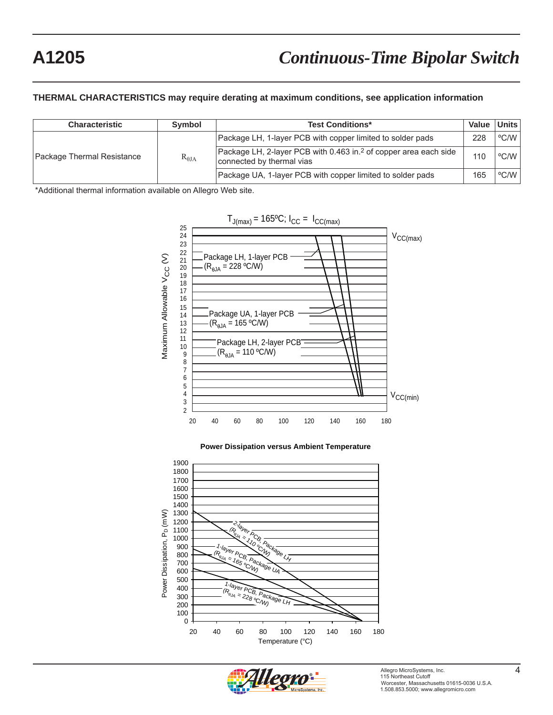### **THERMAL CHARACTERISTICS may require derating at maximum conditions, see application information**

| <b>Characteristic</b>      | <b>Symbol</b>          | <b>Test Conditions*</b>                                                                                   | <b>Value</b> | Units |
|----------------------------|------------------------|-----------------------------------------------------------------------------------------------------------|--------------|-------|
| Package Thermal Resistance | $\rm R_{\rm \thetaJA}$ | Package LH, 1-layer PCB with copper limited to solder pads                                                |              | °C/W  |
|                            |                        | Package LH, 2-layer PCB with 0.463 in. <sup>2</sup> of copper area each side<br>connected by thermal vias |              | °C/W  |
|                            |                        | Package UA, 1-layer PCB with copper limited to solder pads                                                | 165          | °C/W  |

\*Additional thermal information available on Allegro Web site.







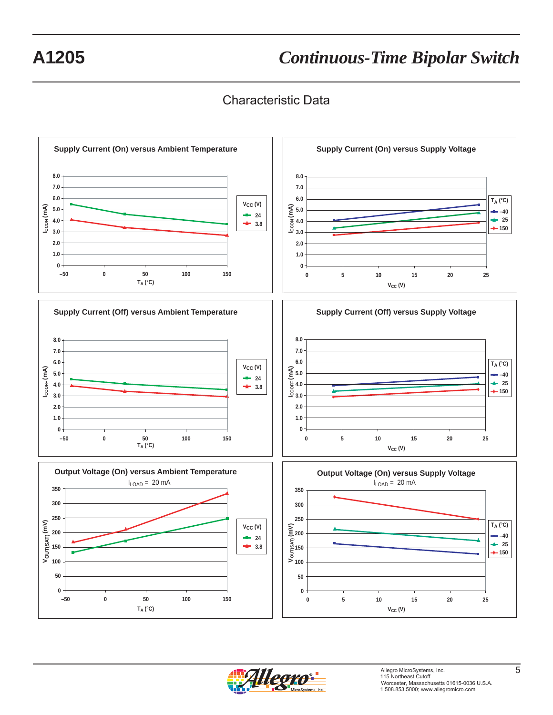# Characteristic Data



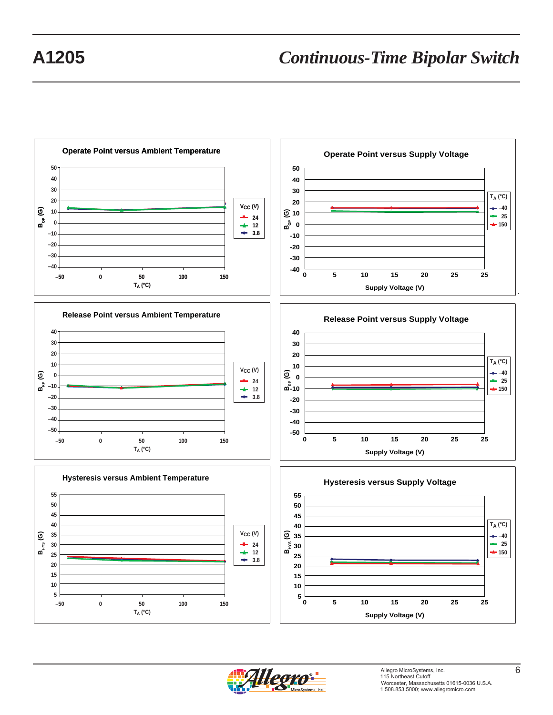

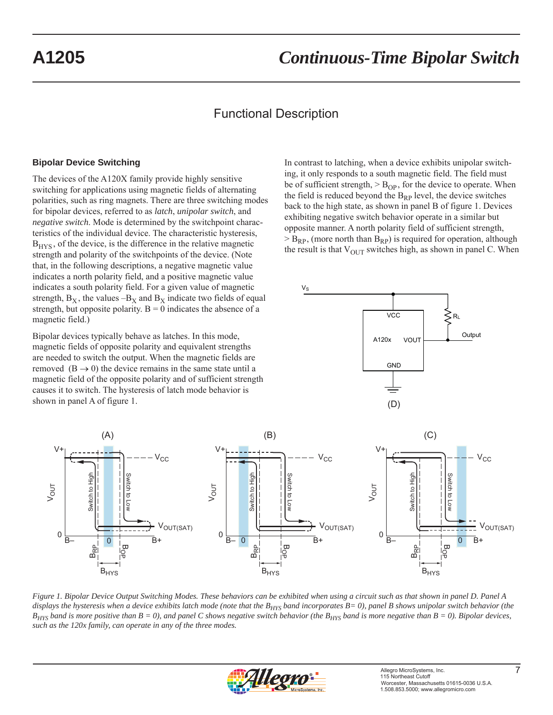# Functional Description

### **Bipolar Device Switching**

The devices of the A120X family provide highly sensitive switching for applications using magnetic fields of alternating polarities, such as ring magnets. There are three switching modes for bipolar devices, referred to as *latch*, *unipolar switch*, and *negative switch*. Mode is determined by the switchpoint characteristics of the individual device. The characteristic hysteresis,  $B<sub>HYS</sub>$ , of the device, is the difference in the relative magnetic strength and polarity of the switchpoints of the device. (Note that, in the following descriptions, a negative magnetic value indicates a north polarity field, and a positive magnetic value indicates a south polarity field. For a given value of magnetic strength,  $B_X$ , the values  $-B_X$  and  $B_X$  indicate two fields of equal strength, but opposite polarity.  $B = 0$  indicates the absence of a magnetic field.)

Bipolar devices typically behave as latches. In this mode, magnetic fields of opposite polarity and equivalent strengths are needed to switch the output. When the magnetic fields are removed  $(B \rightarrow 0)$  the device remains in the same state until a magnetic field of the opposite polarity and of sufficient strength causes it to switch. The hysteresis of latch mode behavior is shown in panel A of figure 1.

In contrast to latching, when a device exhibits unipolar switching, it only responds to a south magnetic field. The field must be of sufficient strength,  $>$  B<sub>OP</sub>, for the device to operate. When the field is reduced beyond the  $B_{RP}$  level, the device switches back to the high state, as shown in panel B of figure 1. Devices exhibiting negative switch behavior operate in a similar but opposite manner. A north polarity field of sufficient strength,  $>$  B<sub>RP</sub>, (more north than B<sub>RP</sub>) is required for operation, although the result is that  $V_{\text{OUT}}$  switches high, as shown in panel C. When





*Figure 1. Bipolar Device Output Switching Modes. These behaviors can be exhibited when using a circuit such as that shown in panel D. Panel A*  displays the hysteresis when a device exhibits latch mode (note that the B<sub>HYS</sub> band incorporates B= 0), panel B shows unipolar switch behavior (the  $B_{HYS}$  band is more positive than  $B = 0$ ), and panel C shows negative switch behavior (the  $B_{HYS}$  band is more negative than  $B = 0$ ). Bipolar devices, *such as the 120x family, can operate in any of the three modes.*

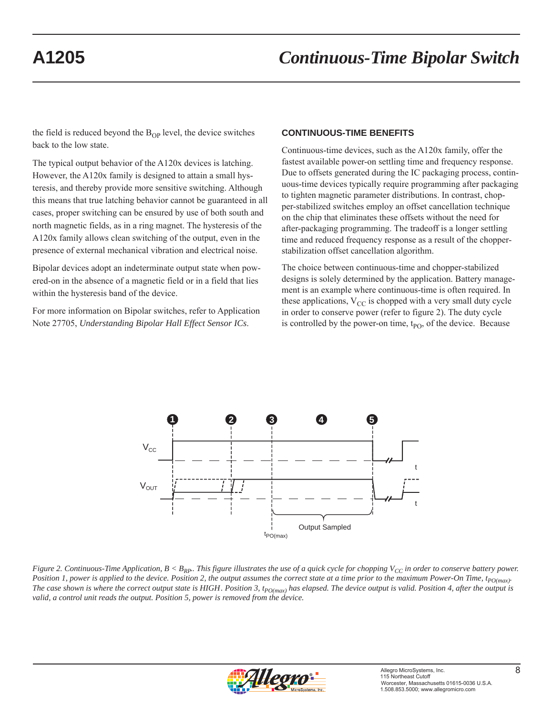the field is reduced beyond the  $B_{OP}$  level, the device switches back to the low state.

The typical output behavior of the A120x devices is latching. However, the A120x family is designed to attain a small hysteresis, and thereby provide more sensitive switching. Although this means that true latching behavior cannot be guaranteed in all cases, proper switching can be ensured by use of both south and north magnetic fields, as in a ring magnet. The hysteresis of the A120x family allows clean switching of the output, even in the presence of external mechanical vibration and electrical noise.

Bipolar devices adopt an indeterminate output state when powered-on in the absence of a magnetic field or in a field that lies within the hysteresis band of the device.

For more information on Bipolar switches, refer to Application Note 27705, *Understanding Bipolar Hall Effect Sensor ICs*.

### **CONTINUOUS-TIME BENEFITS**

Continuous-time devices, such as the A120x family, offer the fastest available power-on settling time and frequency response. Due to offsets generated during the IC packaging process, continuous-time devices typically require programming after packaging to tighten magnetic parameter distributions. In contrast, chopper-stabilized switches employ an offset cancellation technique on the chip that eliminates these offsets without the need for after-packaging programming. The tradeoff is a longer settling time and reduced frequency response as a result of the chopperstabilization offset cancellation algorithm.

The choice between continuous-time and chopper-stabilized designs is solely determined by the application. Battery management is an example where continuous-time is often required. In these applications,  $V_{CC}$  is chopped with a very small duty cycle in order to conserve power (refer to figure 2). The duty cycle is controlled by the power-on time,  $t_{PO}$ , of the device. Because



*Figure 2. Continuous-Time Application, B < B<sub>RP</sub>. This figure illustrates the use of a quick cycle for chopping*  $V_{CC}$  *in order to conserve battery power. Position 1, power is applied to the device. Position 2, the output assumes the correct state at a time prior to the maximum Power-On Time,*  $t_{PO(max)}$ *.* The case shown is where the correct output state is HIGH. Position 3,  $t_{PO(max)}$  has elapsed. The device output is valid. Position 4, after the output is *valid, a control unit reads the output. Position 5, power is removed from the device.* 

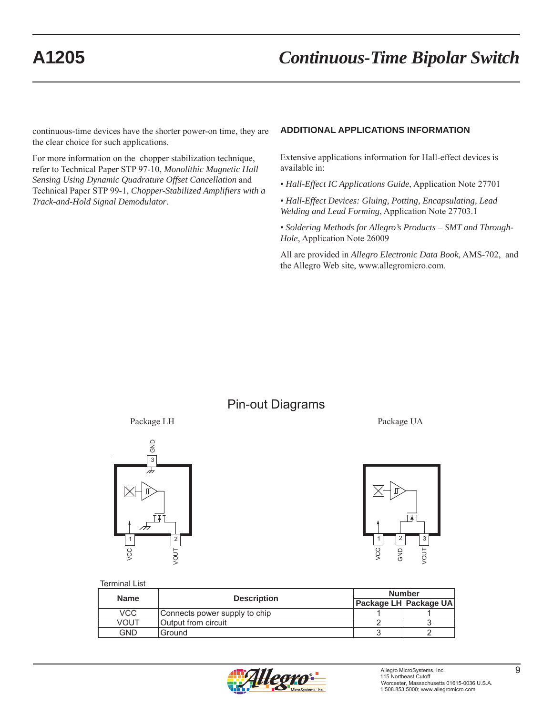continuous-time devices have the shorter power-on time, they are the clear choice for such applications.

For more information on the chopper stabilization technique, refer to Technical Paper STP 97-10, *Monolithic Magnetic Hall Sensing Using Dynamic Quadrature Offset Cancellation* and Technical Paper STP 99-1, *Chopper-Stabilized Amplifiers with a Track-and-Hold Signal Demodulator*.

### **ADDITIONAL APPLICATIONS INFORMATION**

Extensive applications information for Hall-effect devices is available in:

- *Hall-Effect IC Applications Guide*, Application Note 27701
- *Hall-Effect Devices: Gluing, Potting, Encapsulating, Lead Welding and Lead Forming*, Application Note 27703.1

• *Soldering Methods for Allegro's Products – SMT and Through-Hole*, Application Note 26009

All are provided in *Allegro Electronic Data Book*, AMS-702, and the Allegro Web site, www.allegromicro.com.

# Pin-out Diagrams







### Terminal List

| <b>Name</b> | <b>Description</b>            | <b>Number</b> |                       |  |
|-------------|-------------------------------|---------------|-----------------------|--|
|             |                               |               | Package LH Package UA |  |
| VCC         | Connects power supply to chip |               |                       |  |
| <b>VOUT</b> | Output from circuit           |               |                       |  |
| GND         | Ground                        |               |                       |  |

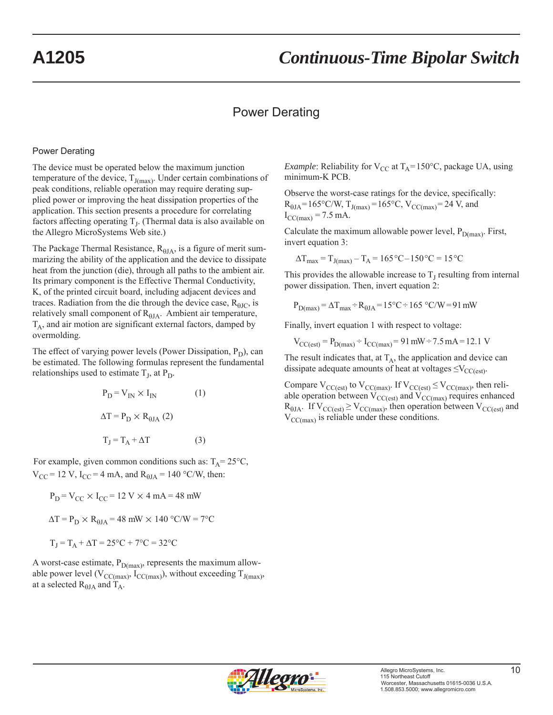# Power Derating

### Power Derating

The device must be operated below the maximum junction temperature of the device,  $T_{J(max)}$ . Under certain combinations of peak conditions, reliable operation may require derating supplied power or improving the heat dissipation properties of the application. This section presents a procedure for correlating factors affecting operating  $T<sub>L</sub>$ . (Thermal data is also available on the Allegro MicroSystems Web site.)

The Package Thermal Resistance,  $R_{\theta I A}$ , is a figure of merit summarizing the ability of the application and the device to dissipate heat from the junction (die), through all paths to the ambient air. Its primary component is the Effective Thermal Conductivity, K, of the printed circuit board, including adjacent devices and traces. Radiation from the die through the device case,  $R_{\text{HIC}}$ , is relatively small component of  $R_{0JA}$ . Ambient air temperature,  $T_A$ , and air motion are significant external factors, damped by overmolding.

The effect of varying power levels (Power Dissipation,  $P_D$ ), can be estimated. The following formulas represent the fundamental relationships used to estimate  $T_L$ , at  $P_D$ .

$$
P_{D} = V_{IN} \times I_{IN}
$$
 (1)  

$$
\Delta T = P_{D} \times R_{\theta JA}
$$
 (2)  

$$
T_{J} = T_{A} + \Delta T
$$
 (3)

For example, given common conditions such as:  $T_A = 25^{\circ}C$ ,  $V_{\text{CC}}$  = 12 V, I<sub>CC</sub> = 4 mA, and R<sub> $\theta$ JA</sub> = 140 °C/W, then:

$$
P_D = V_{CC} \times I_{CC} = 12 \text{ V} \times 4 \text{ mA} = 48 \text{ mW}
$$
  
\n $\Delta T = P_D \times R_{\theta J A} = 48 \text{ mW} \times 140 \text{ °C/W} = 7 \text{ °C}$   
\n $T_J = T_A + \Delta T = 25 \text{ °C} + 7 \text{ °C} = 32 \text{ °C}$ 

A worst-case estimate,  $P_{D(max)}$ , represents the maximum allowable power level ( $V_{CC(max)}$ ,  $I_{CC(max)}$ ), without exceeding  $T_{J(max)}$ , at a selected  $R_{\theta JA}$  and  $T_A$ .

*Example*: Reliability for  $V_{CC}$  at  $T_A = 150^{\circ}C$ , package UA, using minimum-K PCB.

Observe the worst-case ratings for the device, specifically:  $R_{\theta JA} = 165^{\circ}C/W$ ,  $T_{J(max)} = 165^{\circ}C$ ,  $V_{CC(max)} = 24$  V, and  $I_{CC(max)} = 7.5$  mA.

Calculate the maximum allowable power level,  $P_{D(max)}$ . First, invert equation 3:

$$
\Delta T_{\text{max}} = T_{J(\text{max})} - T_A = 165 \,^{\circ}\text{C} - 150 \,^{\circ}\text{C} = 15 \,^{\circ}\text{C}
$$

This provides the allowable increase to  $T<sub>I</sub>$  resulting from internal power dissipation. Then, invert equation 2:

$$
P_{D(max)} = \Delta T_{max} \div R_{\theta JA} = 15^{\circ}\text{C} \div 165^{\circ}\text{C/W} = 91 \text{ mW}
$$

Finally, invert equation 1 with respect to voltage:

 $V_{\text{CC}(\text{est})} = P_{\text{D}(\text{max})} \div I_{\text{CC}(\text{max})} = 91 \text{ mW} \div 7.5 \text{ mA} = 12.1 \text{ V}$ 

The result indicates that, at  $T_A$ , the application and device can dissipate adequate amounts of heat at voltages  $\leq$ V<sub>CC(est)</sub>.

Compare  $V_{CC(est)}$  to  $V_{CC(max)}$ . If  $V_{CC(est)} \leq V_{CC(max)}$ , then reliable operation between  $V_{CC(est)}$  and  $V_{CC(max)}$  requires enhanced  $R_{\theta JA}$ . If  $V_{CC(est)} \geq V_{CC(max)}$ , then operation between  $V_{CC(est)}$  and  $V_{\text{CC(max)}}$  is reliable under these conditions.

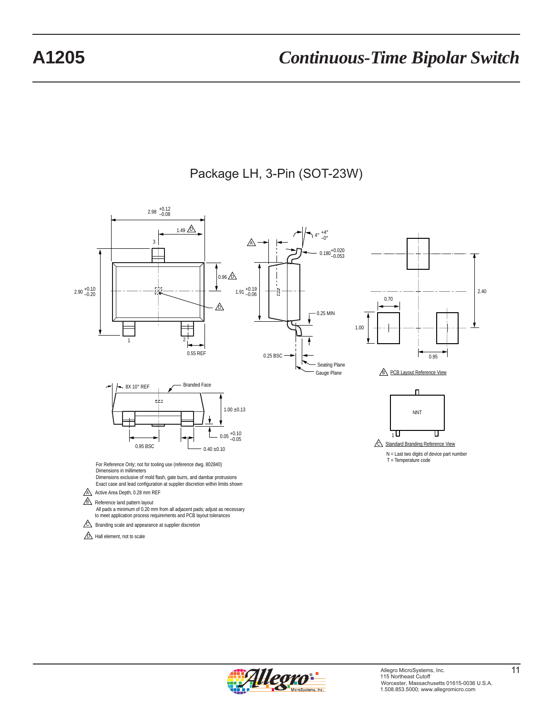